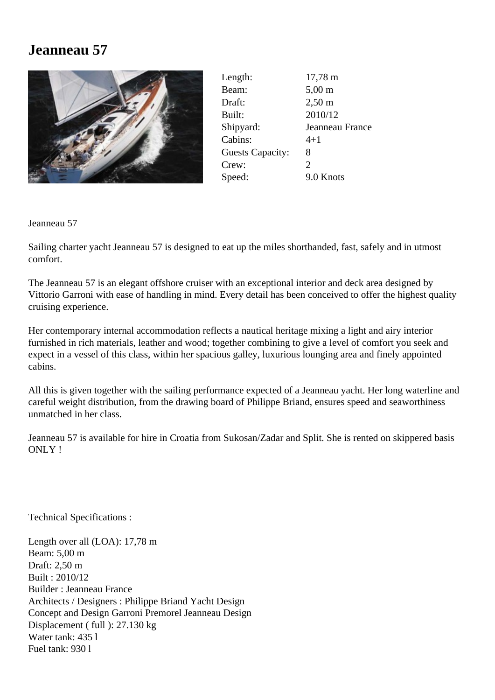## **Jeanneau 57**



| Length:                 | $17,78 \; \text{m}$   |
|-------------------------|-----------------------|
| Beam:                   | $5,00 \text{ m}$      |
| Draft:                  | $2,50 \text{ m}$      |
| Built:                  | 2010/12               |
| Shipyard:               | Jeanneau France       |
| Cabins:                 | $4 + 1$               |
| <b>Guests Capacity:</b> | 8                     |
| Crew:                   | $\mathcal{D}_{\cdot}$ |
| Speed:                  | 9.0 Knots             |

Jeanneau 57

Sailing charter yacht Jeanneau 57 is designed to eat up the miles shorthanded, fast, safely and in utmost comfort.

The Jeanneau 57 is an elegant offshore cruiser with an exceptional interior and deck area designed by Vittorio Garroni with ease of handling in mind. Every detail has been conceived to offer the highest quality cruising experience.

Her contemporary internal accommodation reflects a nautical heritage mixing a light and airy interior furnished in rich materials, leather and wood; together combining to give a level of comfort you seek and expect in a vessel of this class, within her spacious galley, luxurious lounging area and finely appointed cabins.

All this is given together with the sailing performance expected of a Jeanneau yacht. Her long waterline and careful weight distribution, from the drawing board of Philippe Briand, ensures speed and seaworthiness unmatched in her class.

Jeanneau 57 is available for hire in Croatia from Sukosan/Zadar and Split. She is rented on skippered basis ONLY !

Technical Specifications :

Length over all (LOA): 17,78 m Beam: 5,00 m Draft: 2,50 m Built : 2010/12 Builder : Jeanneau France Architects / Designers : Philippe Briand Yacht Design Concept and Design Garroni Premorel Jeanneau Design Displacement ( full ): 27.130 kg Water tank: 435 l Fuel tank: 930 l